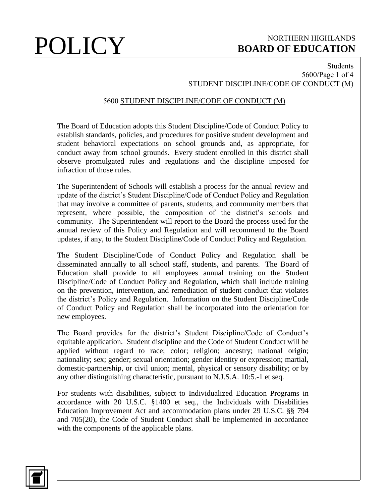## Students 5600/Page 1 of 4 STUDENT DISCIPLINE/CODE OF CONDUCT (M)

### 5600 STUDENT DISCIPLINE/CODE OF CONDUCT (M)

The Board of Education adopts this Student Discipline/Code of Conduct Policy to establish standards, policies, and procedures for positive student development and student behavioral expectations on school grounds and, as appropriate, for conduct away from school grounds. Every student enrolled in this district shall observe promulgated rules and regulations and the discipline imposed for infraction of those rules.

The Superintendent of Schools will establish a process for the annual review and update of the district's Student Discipline/Code of Conduct Policy and Regulation that may involve a committee of parents, students, and community members that represent, where possible, the composition of the district's schools and community. The Superintendent will report to the Board the process used for the annual review of this Policy and Regulation and will recommend to the Board updates, if any, to the Student Discipline/Code of Conduct Policy and Regulation.

The Student Discipline/Code of Conduct Policy and Regulation shall be disseminated annually to all school staff, students, and parents. The Board of Education shall provide to all employees annual training on the Student Discipline/Code of Conduct Policy and Regulation, which shall include training on the prevention, intervention, and remediation of student conduct that violates the district's Policy and Regulation. Information on the Student Discipline/Code of Conduct Policy and Regulation shall be incorporated into the orientation for new employees.

The Board provides for the district's Student Discipline/Code of Conduct's equitable application. Student discipline and the Code of Student Conduct will be applied without regard to race; color; religion; ancestry; national origin; nationality; sex; gender; sexual orientation; gender identity or expression; martial, domestic-partnership, or civil union; mental, physical or sensory disability; or by any other distinguishing characteristic, pursuant to N.J.S.A. 10:5.-1 et seq.

For students with disabilities, subject to Individualized Education Programs in accordance with 20 U.S.C. §1400 et seq., the Individuals with Disabilities Education Improvement Act and accommodation plans under 29 U.S.C. §§ 794 and 705(20), the Code of Student Conduct shall be implemented in accordance with the components of the applicable plans.

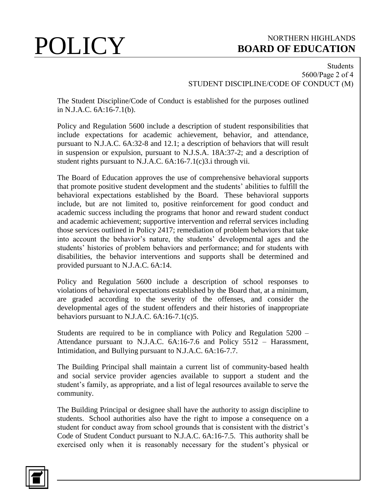### Students 5600/Page 2 of 4 STUDENT DISCIPLINE/CODE OF CONDUCT (M)

The Student Discipline/Code of Conduct is established for the purposes outlined in N.J.A.C. 6A:16-7.1(b).

Policy and Regulation 5600 include a description of student responsibilities that include expectations for academic achievement, behavior, and attendance, pursuant to N.J.A.C. 6A:32-8 and 12.1; a description of behaviors that will result in suspension or expulsion, pursuant to N.J.S.A. 18A:37-2; and a description of student rights pursuant to N.J.A.C. 6A:16-7.1(c)3.i through vii.

The Board of Education approves the use of comprehensive behavioral supports that promote positive student development and the students' abilities to fulfill the behavioral expectations established by the Board. These behavioral supports include, but are not limited to, positive reinforcement for good conduct and academic success including the programs that honor and reward student conduct and academic achievement; supportive intervention and referral services including those services outlined in Policy 2417; remediation of problem behaviors that take into account the behavior's nature, the students' developmental ages and the students' histories of problem behaviors and performance; and for students with disabilities, the behavior interventions and supports shall be determined and provided pursuant to N.J.A.C. 6A:14.

Policy and Regulation 5600 include a description of school responses to violations of behavioral expectations established by the Board that, at a minimum, are graded according to the severity of the offenses, and consider the developmental ages of the student offenders and their histories of inappropriate behaviors pursuant to N.J.A.C. 6A:16-7.1(c)5.

Students are required to be in compliance with Policy and Regulation 5200 – Attendance pursuant to N.J.A.C. 6A:16-7.6 and Policy 5512 – Harassment, Intimidation, and Bullying pursuant to N.J.A.C. 6A:16-7.7.

The Building Principal shall maintain a current list of community-based health and social service provider agencies available to support a student and the student's family, as appropriate, and a list of legal resources available to serve the community.

The Building Principal or designee shall have the authority to assign discipline to students. School authorities also have the right to impose a consequence on a student for conduct away from school grounds that is consistent with the district's Code of Student Conduct pursuant to N.J.A.C. 6A:16-7.5. This authority shall be exercised only when it is reasonably necessary for the student's physical or

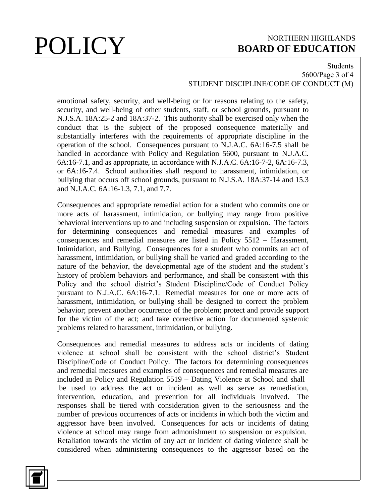### Students 5600/Page 3 of 4 STUDENT DISCIPLINE/CODE OF CONDUCT (M)

emotional safety, security, and well-being or for reasons relating to the safety, security, and well-being of other students, staff, or school grounds, pursuant to N.J.S.A. 18A:25-2 and 18A:37-2. This authority shall be exercised only when the conduct that is the subject of the proposed consequence materially and substantially interferes with the requirements of appropriate discipline in the operation of the school. Consequences pursuant to N.J.A.C. 6A:16-7.5 shall be handled in accordance with Policy and Regulation 5600, pursuant to N.J.A.C. 6A:16-7.1, and as appropriate, in accordance with N.J.A.C. 6A:16-7-2, 6A:16-7.3, or 6A:16-7.4. School authorities shall respond to harassment, intimidation, or bullying that occurs off school grounds, pursuant to N.J.S.A. 18A:37-14 and 15.3 and N.J.A.C. 6A:16-1.3, 7.1, and 7.7.

Consequences and appropriate remedial action for a student who commits one or more acts of harassment, intimidation, or bullying may range from positive behavioral interventions up to and including suspension or expulsion. The factors for determining consequences and remedial measures and examples of consequences and remedial measures are listed in Policy 5512 – Harassment, Intimidation, and Bullying. Consequences for a student who commits an act of harassment, intimidation, or bullying shall be varied and graded according to the nature of the behavior, the developmental age of the student and the student's history of problem behaviors and performance, and shall be consistent with this Policy and the school district's Student Discipline/Code of Conduct Policy pursuant to N.J.A.C. 6A:16-7.1. Remedial measures for one or more acts of harassment, intimidation, or bullying shall be designed to correct the problem behavior; prevent another occurrence of the problem; protect and provide support for the victim of the act; and take corrective action for documented systemic problems related to harassment, intimidation, or bullying.

Consequences and remedial measures to address acts or incidents of dating violence at school shall be consistent with the school district's Student Discipline/Code of Conduct Policy. The factors for determining consequences and remedial measures and examples of consequences and remedial measures are included in Policy and Regulation 5519 – Dating Violence at School and shall be used to address the act or incident as well as serve as remediation, intervention, education, and prevention for all individuals involved. The responses shall be tiered with consideration given to the seriousness and the number of previous occurrences of acts or incidents in which both the victim and aggressor have been involved. Consequences for acts or incidents of dating violence at school may range from admonishment to suspension or expulsion. Retaliation towards the victim of any act or incident of dating violence shall be considered when administering consequences to the aggressor based on the